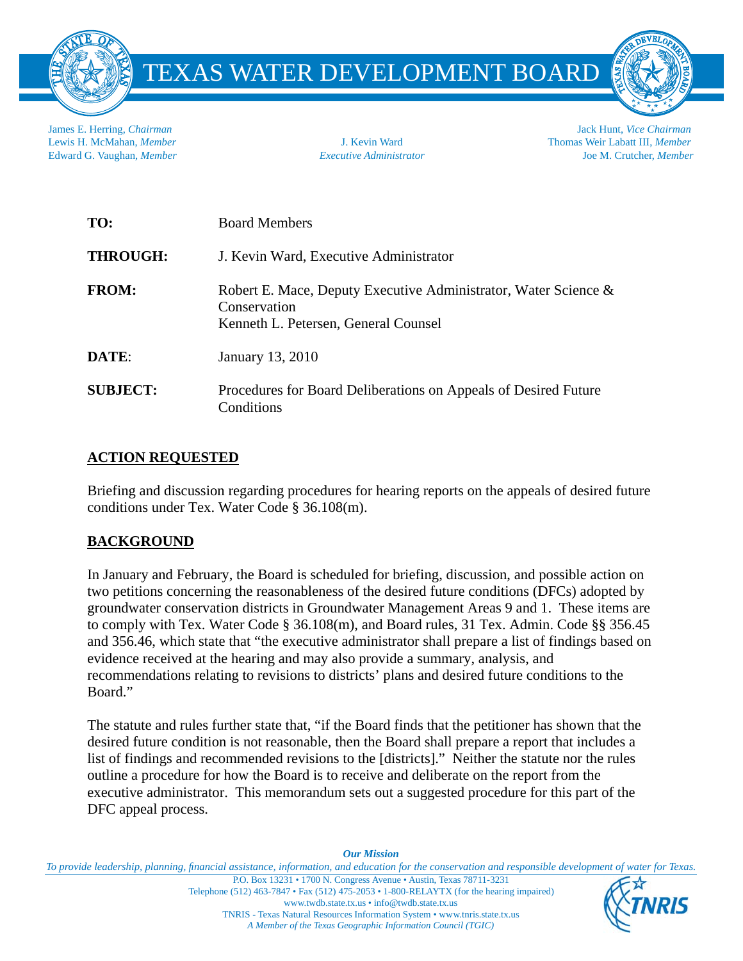

TEXAS WATER DEVELOPMENT BOARD

James E. Herring, *Chairman* Jack Hunt, *Vice Chairman* Lewis H. McMahan, *Member* J. Kevin Ward Thomas Weir Labatt III, *Member* Edward G. Vaughan, *Member Executive Administrator* Joe M. Crutcher, *Member*

| TO:             | <b>Board Members</b>                                                                                                    |
|-----------------|-------------------------------------------------------------------------------------------------------------------------|
| <b>THROUGH:</b> | J. Kevin Ward, Executive Administrator                                                                                  |
| <b>FROM:</b>    | Robert E. Mace, Deputy Executive Administrator, Water Science &<br>Conservation<br>Kenneth L. Petersen, General Counsel |
| DATE:           | January 13, 2010                                                                                                        |
| <b>SUBJECT:</b> | Procedures for Board Deliberations on Appeals of Desired Future<br>Conditions                                           |

## **ACTION REQUESTED**

Briefing and discussion regarding procedures for hearing reports on the appeals of desired future conditions under Tex. Water Code § 36.108(m).

## **BACKGROUND**

In January and February, the Board is scheduled for briefing, discussion, and possible action on two petitions concerning the reasonableness of the desired future conditions (DFCs) adopted by groundwater conservation districts in Groundwater Management Areas 9 and 1. These items are to comply with Tex. Water Code § 36.108(m), and Board rules, 31 Tex. Admin. Code §§ 356.45 and 356.46, which state that "the executive administrator shall prepare a list of findings based on evidence received at the hearing and may also provide a summary, analysis, and recommendations relating to revisions to districts' plans and desired future conditions to the Board."

The statute and rules further state that, "if the Board finds that the petitioner has shown that the desired future condition is not reasonable, then the Board shall prepare a report that includes a list of findings and recommended revisions to the [districts]." Neither the statute nor the rules outline a procedure for how the Board is to receive and deliberate on the report from the executive administrator. This memorandum sets out a suggested procedure for this part of the DFC appeal process.

*Our Mission To provide leadership, planning, financial assistance, information, and education for the conservation and responsible development of water for Texas.* P.O. Box 13231 • 1700 N. Congress Avenue • Austin, Texas 78711-3231 Telephone (512) 463-7847 • Fax (512) 475-2053 • 1-800-RELAYTX (for the hearing impaired) www.twdb.state.tx.us • info@twdb.state.tx.us TNRIS - Texas Natural Resources Information System • www.tnris.state.tx.us *A Member of the Texas Geographic Information Council (TGIC)*